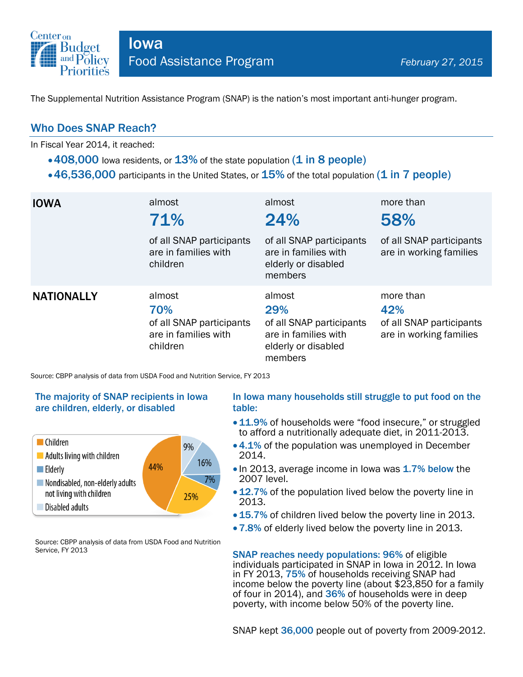

The Supplemental Nutrition Assistance Program (SNAP) is the nation's most important anti-hunger program.

## Who Does SNAP Reach?

In Fiscal Year 2014, it reached:

- $\cdot$  408,000 lowa residents, or  $13\%$  of the state population (1 in 8 people)
- $\cdot$  46,536,000 participants in the United States, or  $15\%$  of the total population (1 in 7 people)

| <b>IOWA</b>       | almost<br>71%<br>of all SNAP participants<br>are in families with<br>children | almost<br>24%<br>of all SNAP participants<br>are in families with<br>elderly or disabled<br>members | more than<br>58%<br>of all SNAP participants<br>are in working families |
|-------------------|-------------------------------------------------------------------------------|-----------------------------------------------------------------------------------------------------|-------------------------------------------------------------------------|
| <b>NATIONALLY</b> | almost<br>70%<br>of all SNAP participants<br>are in families with<br>children | almost<br>29%<br>of all SNAP participants<br>are in families with<br>elderly or disabled<br>members | more than<br>42%<br>of all SNAP participants<br>are in working families |

Source: CBPP analysis of data from USDA Food and Nutrition Service, FY 2013

### The majority of SNAP recipients in Iowa are children, elderly, or disabled



Source: CBPP analysis of data from USDA Food and Nutrition Service, FY 2013

#### In Iowa many households still struggle to put food on the table:

- 11.9% of households were "food insecure," or struggled to afford a nutritionally adequate diet, in 2011-2013.
- 4.1% of the population was unemployed in December 2014.
- In 2013, average income in Iowa was 1.7% below the 2007 level.
- 12.7% of the population lived below the poverty line in 2013.
- 15.7% of children lived below the poverty line in 2013.
- 7.8% of elderly lived below the poverty line in 2013.

SNAP reaches needy populations: 96% of eligible individuals participated in SNAP in Iowa in 2012. In Iowa in FY 2013, 75% of households receiving SNAP had income below the poverty line (about \$23,850 for a family of four in 2014), and 36% of households were in deep poverty, with income below 50% of the poverty line.